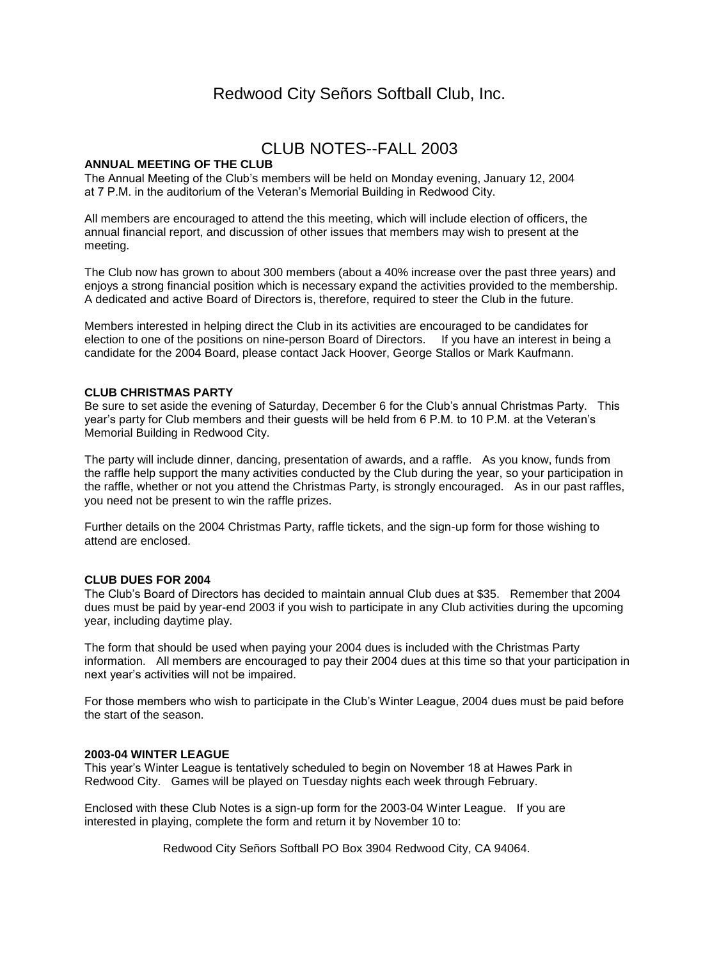# Redwood City Señors Softball Club, Inc.

## CLUB NOTES--FALL 2003

## **ANNUAL MEETING OF THE CLUB**

The Annual Meeting of the Club's members will be held on Monday evening, January 12, 2004 at 7 P.M. in the auditorium of the Veteran's Memorial Building in Redwood City.

All members are encouraged to attend the this meeting, which will include election of officers, the annual financial report, and discussion of other issues that members may wish to present at the meeting.

The Club now has grown to about 300 members (about a 40% increase over the past three years) and enjoys a strong financial position which is necessary expand the activities provided to the membership. A dedicated and active Board of Directors is, therefore, required to steer the Club in the future.

Members interested in helping direct the Club in its activities are encouraged to be candidates for election to one of the positions on nine-person Board of Directors. If you have an interest in being a candidate for the 2004 Board, please contact Jack Hoover, George Stallos or Mark Kaufmann.

## **CLUB CHRISTMAS PARTY**

Be sure to set aside the evening of Saturday, December 6 for the Club's annual Christmas Party. This year's party for Club members and their guests will be held from 6 P.M. to 10 P.M. at the Veteran's Memorial Building in Redwood City.

The party will include dinner, dancing, presentation of awards, and a raffle. As you know, funds from the raffle help support the many activities conducted by the Club during the year, so your participation in the raffle, whether or not you attend the Christmas Party, is strongly encouraged. As in our past raffles, you need not be present to win the raffle prizes.

Further details on the 2004 Christmas Party, raffle tickets, and the sign-up form for those wishing to attend are enclosed.

#### **CLUB DUES FOR 2004**

The Club's Board of Directors has decided to maintain annual Club dues at \$35. Remember that 2004 dues must be paid by year-end 2003 if you wish to participate in any Club activities during the upcoming year, including daytime play.

The form that should be used when paying your 2004 dues is included with the Christmas Party information. All members are encouraged to pay their 2004 dues at this time so that your participation in next year's activities will not be impaired.

For those members who wish to participate in the Club's Winter League, 2004 dues must be paid before the start of the season.

#### **2003-04 WINTER LEAGUE**

This year's Winter League is tentatively scheduled to begin on November 18 at Hawes Park in Redwood City. Games will be played on Tuesday nights each week through February.

Enclosed with these Club Notes is a sign-up form for the 2003-04 Winter League. If you are interested in playing, complete the form and return it by November 10 to:

Redwood City Señors Softball PO Box 3904 Redwood City, CA 94064.